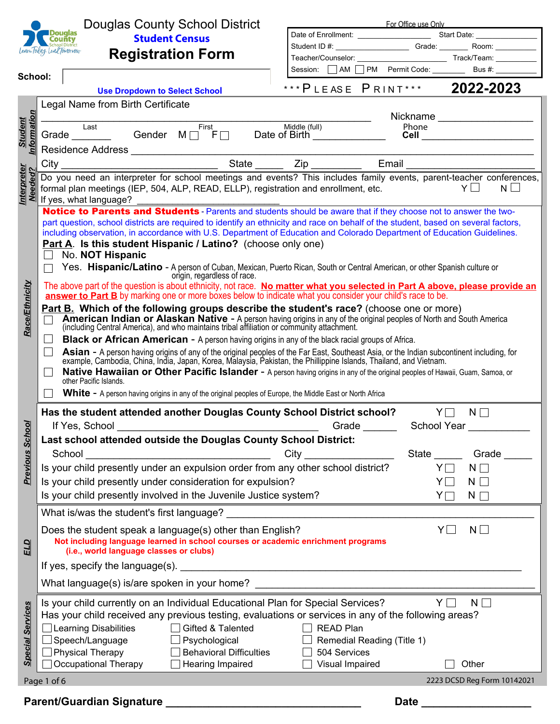| ouc                        |
|----------------------------|
| <b>Chool District</b>      |
| Learn Today, Lead Tomorrow |

**School:**

### Douglas County School District **Student Census**

**Registration Form**

**Use Dropdown to Select School**

| ***PLEASE PRINT***          | 2022-2023       |  |  |
|-----------------------------|-----------------|--|--|
| Session: AM PM Permit Code: | Bus #:          |  |  |
| Teacher/Counselor:          | Track/Team:     |  |  |
| Student ID #: _____________ | Grade:<br>Room: |  |  |
| Date of Enrollment:         | Start Date:     |  |  |

For Office use Only

|                         | Legal Name from Birth Certificate                                                                                                                                                                                                                                                                           |                                      |
|-------------------------|-------------------------------------------------------------------------------------------------------------------------------------------------------------------------------------------------------------------------------------------------------------------------------------------------------------|--------------------------------------|
| Information             | Example and Example of Birth Middle (full)<br>Grade Cender M F F Date of Birth Changes Contains Middle (full)                                                                                                                                                                                               | Nickname __________________<br>Phone |
| <b>Student</b>          |                                                                                                                                                                                                                                                                                                             | <b>Cell</b> ________________________ |
|                         |                                                                                                                                                                                                                                                                                                             |                                      |
|                         |                                                                                                                                                                                                                                                                                                             |                                      |
| Interpreter<br>Needed?  | formal plan meetings (IEP, 504, ALP, READ, ELLP), registration and enrollment, etc.                                                                                                                                                                                                                         | $Y \Box$<br>$N \Box$                 |
|                         | If yes, what language?                                                                                                                                                                                                                                                                                      |                                      |
|                         | part question, school districts are required to identify an ethnicity and race on behalf of the student, based on several factors,                                                                                                                                                                          |                                      |
|                         | including observation, in accordance with U.S. Department of Education and Colorado Department of Education Guidelines.                                                                                                                                                                                     |                                      |
|                         | <b>Part A. Is this student Hispanic / Latino?</b> (choose only one)                                                                                                                                                                                                                                         |                                      |
|                         | No. NOT Hispanic<br>Yes. Hispanic/Latino - A person of Cuban, Mexican, Puerto Rican, South or Central American, or other Spanish culture or                                                                                                                                                                 |                                      |
|                         | origin, regardless of race.                                                                                                                                                                                                                                                                                 |                                      |
|                         | The above part of the question is about ethnicity, not race. No matter what you selected in Part A above, please provide an<br>answer to Part B by marking one or more boxes below to indicate what you consider your child's race to be.                                                                   |                                      |
| <b>Race/Ethnicity</b>   | Part B. Which of the following groups describe the student's race? (choose one or more)<br>American Indian or Alaskan Native - A person having origins in any of the original peoples of North and South America (including Central America), and who maintains tribal affiliation or community attachment. |                                      |
|                         | <b>Black or African American</b> - A person having origins in any of the black racial groups of Africa.                                                                                                                                                                                                     |                                      |
|                         | Asian - A person having origins of any of the original peoples of the Far East, Southeast Asia, or the Indian subcontinent including, for example, Cambodia, China, India, Japan, Korea, Malaysia, Pakistan, the Phillippine I                                                                              |                                      |
|                         | Native Hawaiian or Other Pacific Islander - A person having origins in any of the original peoples of Hawaii, Guam, Samoa, or<br>other Pacific Islands.                                                                                                                                                     |                                      |
|                         | <b>White</b> - A person having origins in any of the original peoples of Europe, the Middle East or North Africa                                                                                                                                                                                            |                                      |
|                         | Has the student attended another Douglas County School District school?                                                                                                                                                                                                                                     | $Y\Box$<br>$N \Box$                  |
|                         | Grade                                                                                                                                                                                                                                                                                                       |                                      |
| <b>Previous School</b>  | Last school attended outside the Douglas County School District:                                                                                                                                                                                                                                            |                                      |
|                         |                                                                                                                                                                                                                                                                                                             |                                      |
|                         | Is your child presently under an expulsion order from any other school district?<br>Is your child presently under consideration for expulsion?                                                                                                                                                              | YΠ<br>$N \Box$<br>N.                 |
|                         | Is your child presently involved in the Juvenile Justice system?                                                                                                                                                                                                                                            | Y<br>$N \Box$                        |
|                         | What is/was the student's first language?                                                                                                                                                                                                                                                                   |                                      |
|                         |                                                                                                                                                                                                                                                                                                             |                                      |
|                         | Does the student speak a language(s) other than English?<br>Not including language learned in school courses or academic enrichment programs                                                                                                                                                                | $N\square$<br>YL                     |
| ELD                     | (i.e., world language classes or clubs)                                                                                                                                                                                                                                                                     |                                      |
|                         | If yes, specify the language(s).                                                                                                                                                                                                                                                                            |                                      |
|                         | What language(s) is/are spoken in your home?                                                                                                                                                                                                                                                                |                                      |
|                         | Is your child currently on an Individual Educational Plan for Special Services?                                                                                                                                                                                                                             | $Y\Box$<br>$N \Box$                  |
| <b>Special Services</b> | Has your child received any previous testing, evaluations or services in any of the following areas?                                                                                                                                                                                                        |                                      |
|                         | $\Box$ Learning Disabilities<br>Gifted & Talented<br><b>READ Plan</b><br>$\Box$<br>$\Box$                                                                                                                                                                                                                   |                                      |
|                         | Speech/Language<br>Psychological<br>Remedial Reading (Title 1)<br><b>Physical Therapy</b><br><b>Behavioral Difficulties</b><br>504 Services                                                                                                                                                                 |                                      |
|                         | <b>Occupational Therapy</b><br>Hearing Impaired<br>Visual Impaired                                                                                                                                                                                                                                          | Other                                |
|                         | Page 1 of 6                                                                                                                                                                                                                                                                                                 | 2223 DCSD Reg Form 10142021          |
|                         | Parent/Guardian Signature                                                                                                                                                                                                                                                                                   | <b>Date</b>                          |

 $\boxed{\mathbf{r}}$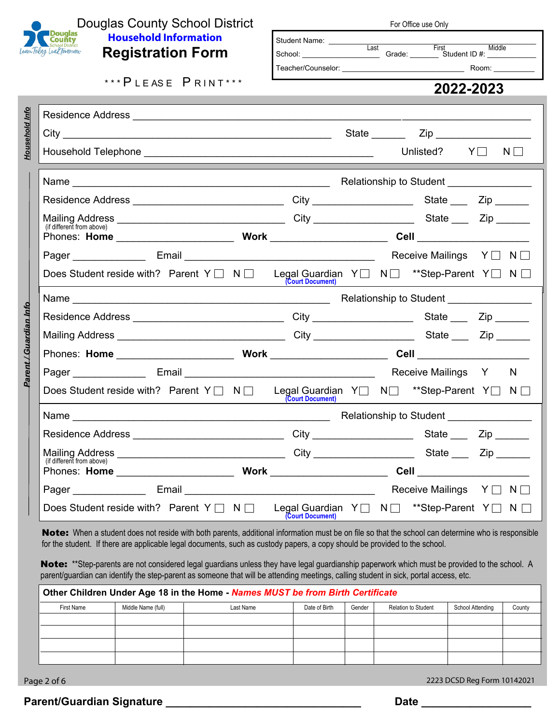

*Household Info*

Household Info

*Parent / Guardian Info*

Parent / Guardian Info

# Douglas County School District **Household Information Registration Form**

 $***$  PLEASE PRINT\*\*\*

Residence Address \_\_\_\_\_\_\_\_\_\_\_\_\_\_\_\_\_\_\_\_\_\_\_\_\_\_\_\_\_\_\_\_\_\_\_\_\_\_\_\_\_\_\_\_\_\_\_\_\_\_\_\_\_\_\_\_\_\_\_\_\_\_\_\_\_\_\_\_\_\_\_

| For Office use Only                                   |                |                                           |  |  |
|-------------------------------------------------------|----------------|-------------------------------------------|--|--|
| <b>Student Name:</b><br>School:<br>Teacher/Counselor: | Last<br>Grade: | First<br>Middle<br>Student ID #:<br>Room: |  |  |
|                                                       |                | 2022-2023                                 |  |  |
|                                                       |                |                                           |  |  |
|                                                       | State          | Zip                                       |  |  |

| City                                                                                                                | <u> 1989 - Johann Stoff, amerikansk politiker (d. 1989)</u> |                  | State <u>_________</u> |                                        |          |
|---------------------------------------------------------------------------------------------------------------------|-------------------------------------------------------------|------------------|------------------------|----------------------------------------|----------|
|                                                                                                                     |                                                             |                  |                        | Unlisted? $Y \Box$                     | $N \Box$ |
|                                                                                                                     |                                                             |                  |                        |                                        |          |
| Residence Address ________________________________                                                                  |                                                             |                  |                        | State ____ Zip ______                  |          |
|                                                                                                                     |                                                             |                  |                        |                                        |          |
|                                                                                                                     |                                                             |                  |                        |                                        |          |
|                                                                                                                     |                                                             |                  |                        | Receive Mailings Y□ N□                 |          |
| Does Student reside with? Parent Y $\Box$ N $\Box$ Legal Guardian Y $\Box$ N $\Box$ **Step-Parent Y $\Box$ N $\Box$ |                                                             | (Court Document) |                        |                                        |          |
|                                                                                                                     |                                                             |                  |                        |                                        |          |
| Residence Address _______________________________                                                                   |                                                             |                  |                        | State ____ Zip ______                  |          |
|                                                                                                                     |                                                             |                  |                        |                                        |          |
|                                                                                                                     |                                                             |                  |                        |                                        |          |
|                                                                                                                     |                                                             |                  |                        | Receive Mailings Y N                   |          |
| Does Student reside with? Parent Y   N   Legal Guardian Y   N   ** Step-Parent Y   N                                |                                                             | (Court Document) |                        |                                        |          |
|                                                                                                                     |                                                             |                  |                        |                                        |          |
| Residence Address ________________________________City _________________________State ______Zip _______             |                                                             |                  |                        |                                        |          |
|                                                                                                                     |                                                             |                  |                        |                                        |          |
| (if different from above)                                                                                           |                                                             |                  |                        |                                        |          |
|                                                                                                                     |                                                             |                  |                        | Receive Mailings $Y \square N \square$ |          |
| Does Student reside with? Parent Y $\Box$ N $\Box$ Legal Guardian Y $\Box$ N $\Box$ **Step-Parent Y $\Box$ N $\Box$ |                                                             | (Court Document) |                        |                                        |          |

Note: When a student does not reside with both parents, additional information must be on file so that the school can determine who is responsible for the student. If there are applicable legal documents, such as custody papers, a copy should be provided to the school.

Note: \*\*Step-parents are not considered legal guardians unless they have legal guardianship paperwork which must be provided to the school. A parent/guardian can identify the step-parent as someone that will be attending meetings, calling student in sick, portal access, etc.

|            | Other Children Under Age 18 in the Home - Names MUST be from Birth Certificate |           |               |        |                            |                  |        |
|------------|--------------------------------------------------------------------------------|-----------|---------------|--------|----------------------------|------------------|--------|
| First Name | Middle Name (full)                                                             | Last Name | Date of Birth | Gender | <b>Relation to Student</b> | School Attending | County |
|            |                                                                                |           |               |        |                            |                  |        |
|            |                                                                                |           |               |        |                            |                  |        |
|            |                                                                                |           |               |        |                            |                  |        |
|            |                                                                                |           |               |        |                            |                  |        |

Page 2 of 6 2223 DCSD Reg Form 10142021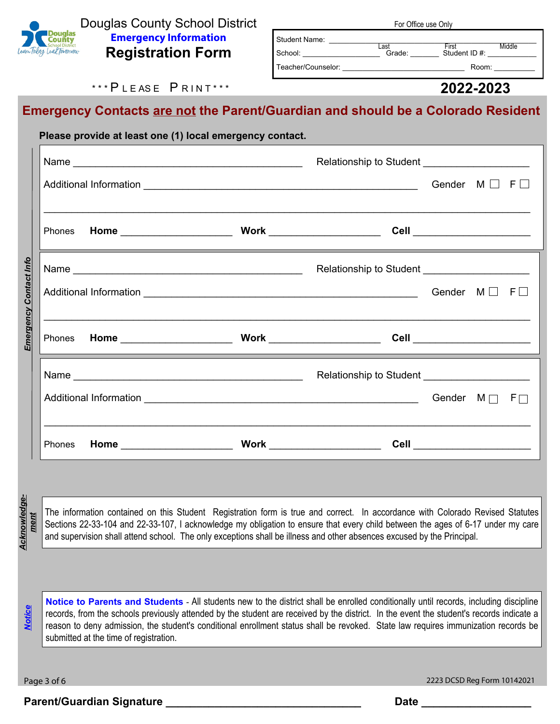

Douglas County School District **Emergency Information Registration Form**

| Last<br>Grade: | <b>First</b><br>Student ID #: | Middle                                |
|----------------|-------------------------------|---------------------------------------|
|                |                               |                                       |
|                |                               | <b>I VI VIIIVE USE VIIIV</b><br>Room: |

For Office use Only

# \*\*\* P L E A S E P R I N T \*\*\*

#### **2022-2023**

# **Emergency Contacts are not the Parent/Guardian and should be a Colorado Resident**

|  | Please provide at least one (1) local emergency contact.                                                                                                                                                                                                                                                                                                                                                                                                                                                             |                              |  |
|--|----------------------------------------------------------------------------------------------------------------------------------------------------------------------------------------------------------------------------------------------------------------------------------------------------------------------------------------------------------------------------------------------------------------------------------------------------------------------------------------------------------------------|------------------------------|--|
|  |                                                                                                                                                                                                                                                                                                                                                                                                                                                                                                                      |                              |  |
|  |                                                                                                                                                                                                                                                                                                                                                                                                                                                                                                                      | Gender $M \square F \square$ |  |
|  | ,我们也不能在这里的时候,我们也不能在这里的时候,我们也不能不能不能不能不能不能不能不能不能不能不能不能不能不能不能。""我们的是,我们也不能不能不能不能不能不能<br><u> 1989 - Jan Samuel Barbara, margaret a shekara 1989 - Shekara ta 1989 - Shekara ta 1989 - Shekara ta 1980 - Sh</u>                                                                                                                                                                                                                                                                                                           |                              |  |
|  |                                                                                                                                                                                                                                                                                                                                                                                                                                                                                                                      |                              |  |
|  |                                                                                                                                                                                                                                                                                                                                                                                                                                                                                                                      |                              |  |
|  | <u> 1989 - Johann Stoff, amerikansk politiker (d. 1989)</u>                                                                                                                                                                                                                                                                                                                                                                                                                                                          |                              |  |
|  |                                                                                                                                                                                                                                                                                                                                                                                                                                                                                                                      |                              |  |
|  |                                                                                                                                                                                                                                                                                                                                                                                                                                                                                                                      |                              |  |
|  | <u> 1989 - Andrea Santana, amerikana amerikana amerikana amerikana amerikana amerikana amerikana amerikana amerik</u>                                                                                                                                                                                                                                                                                                                                                                                                |                              |  |
|  |                                                                                                                                                                                                                                                                                                                                                                                                                                                                                                                      |                              |  |
|  | <u> 1989 - Johann Stoff, deutscher Stoffen und der Stoffen und der Stoffen und der Stoffen und der Stoffen und der</u><br>The information contained on this Student Registration form is true and correct. In accordance with Colorado Revised Statutes<br>Sections 22-33-104 and 22-33-107, I acknowledge my obligation to ensure that every child between the ages of 6-17 under my care<br>and supervision shall attend school. The only exceptions shall be illness and other absences excused by the Principal. |                              |  |
|  |                                                                                                                                                                                                                                                                                                                                                                                                                                                                                                                      |                              |  |
|  | Notice to Parents and Students - All students new to the district shall be enrolled conditionally until records, including discipline<br>records, from the schools previously attended by the student are received by the district. In the event the student's records indicate a<br>reason to deny admission, the student's conditional enrollment status shall be revoked. State law requires immunization records be                                                                                              |                              |  |

records, from the schools previously attended by the student are received by the district. In the event the student's records indicate a reason to deny admission, the student's conditional enrollment status shall be revoked. State law requires immunization records be submitted at the time of registration.

Page 3 of 6 2223 DCSD Reg Form 10142021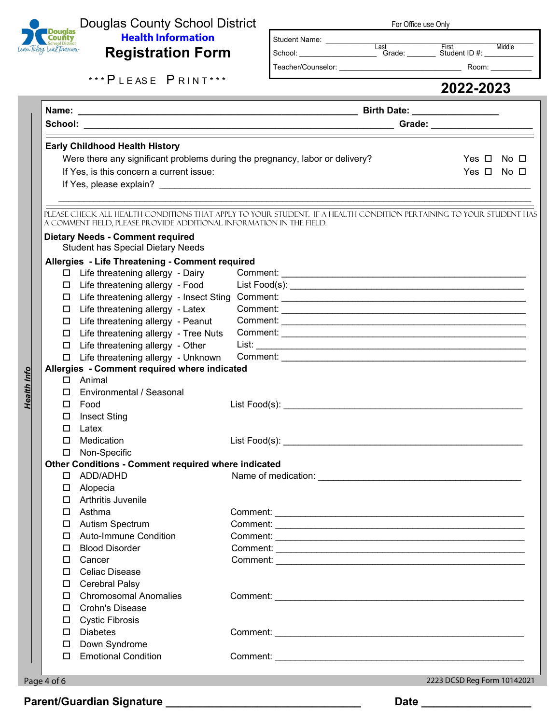

Health Info

### Douglas County School District **Health Information Registration Form**

| For Office use Only |
|---------------------|
|---------------------|

Last First Middle<br>
School: Grade: Student ID #:

Student Name: \_\_\_\_\_\_\_\_\_\_\_\_\_\_\_\_\_\_\_\_\_\_\_\_\_\_\_\_\_\_\_\_\_\_\_\_\_\_\_\_\_\_\_\_\_\_\_\_\_\_\_

Teacher/Counselor: example and the set of the Room:

\*\*\* P L E A S E P R I N T \*\*\*

|                  |                                                                              |                                                                                                                     | Grade: ______________________ |
|------------------|------------------------------------------------------------------------------|---------------------------------------------------------------------------------------------------------------------|-------------------------------|
|                  | <b>Early Childhood Health History</b>                                        |                                                                                                                     |                               |
|                  | Were there any significant problems during the pregnancy, labor or delivery? |                                                                                                                     | Yes $\Box$ No $\Box$          |
|                  | If Yes, is this concern a current issue:                                     |                                                                                                                     | Yes $\Box$ No $\Box$          |
|                  |                                                                              |                                                                                                                     |                               |
|                  |                                                                              |                                                                                                                     |                               |
|                  |                                                                              | PLEASE CHECK ALL HEALTH CONDITIONS THAT APPLY TO YOUR STUDENT. IF A HEALTH CONDITION PERTAINING TO YOUR STUDENT HAS |                               |
|                  | A COMMENT FIELD, PLEASE PROVIDE ADDITIONAL INFORMATION IN THE FIELD.         |                                                                                                                     |                               |
|                  | <b>Dietary Needs - Comment required</b>                                      |                                                                                                                     |                               |
|                  | <b>Student has Special Dietary Needs</b>                                     |                                                                                                                     |                               |
|                  | Allergies - Life Threatening - Comment required                              |                                                                                                                     |                               |
|                  | □ Life threatening allergy - Dairy                                           |                                                                                                                     |                               |
|                  | Life threatening allergy - Food                                              |                                                                                                                     |                               |
| 0                | Life threatening allergy - Insect Sting                                      |                                                                                                                     |                               |
| 0                | Life threatening allergy - Latex                                             |                                                                                                                     |                               |
| 0                | Life threatening allergy - Peanut                                            |                                                                                                                     |                               |
| $\Box$           | Life threatening allergy - Tree Nuts                                         |                                                                                                                     |                               |
| $\Box$           | Life threatening allergy - Other                                             |                                                                                                                     |                               |
|                  | Life threatening allergy - Unknown                                           |                                                                                                                     |                               |
|                  | Allergies - Comment required where indicated                                 |                                                                                                                     |                               |
|                  | $\Box$ Animal                                                                |                                                                                                                     |                               |
|                  | Environmental / Seasonal                                                     |                                                                                                                     |                               |
|                  | Food                                                                         |                                                                                                                     |                               |
| □                | <b>Insect Sting</b>                                                          |                                                                                                                     |                               |
| 0                | Latex<br>Medication                                                          |                                                                                                                     |                               |
| $\Box$           |                                                                              |                                                                                                                     |                               |
| $\Box$           | Non-Specific                                                                 |                                                                                                                     |                               |
| П.               | <b>Other Conditions - Comment required where indicated</b><br>ADD/ADHD       |                                                                                                                     |                               |
|                  |                                                                              |                                                                                                                     |                               |
| $\Box$           | Alopecia<br>Arthritis Juvenile                                               |                                                                                                                     |                               |
| □                |                                                                              |                                                                                                                     |                               |
| 0                | Asthma                                                                       |                                                                                                                     |                               |
| $\Box$           | <b>Autism Spectrum</b>                                                       |                                                                                                                     |                               |
|                  | □ Auto-Immune Condition<br><b>Blood Disorder</b>                             |                                                                                                                     |                               |
| 0                |                                                                              |                                                                                                                     |                               |
| 0                | Cancer                                                                       |                                                                                                                     |                               |
|                  | Celiac Disease                                                               |                                                                                                                     |                               |
| $\Box$<br>$\Box$ | <b>Cerebral Palsy</b><br><b>Chromosomal Anomalies</b>                        |                                                                                                                     |                               |
|                  | <b>Crohn's Disease</b>                                                       |                                                                                                                     |                               |
| □                |                                                                              |                                                                                                                     |                               |
| □                | <b>Cystic Fibrosis</b>                                                       |                                                                                                                     |                               |
|                  | <b>Diabetes</b>                                                              |                                                                                                                     |                               |
| $\Box$           | Down Syndrome                                                                |                                                                                                                     |                               |
| $\Box$           | <b>Emotional Condition</b>                                                   |                                                                                                                     |                               |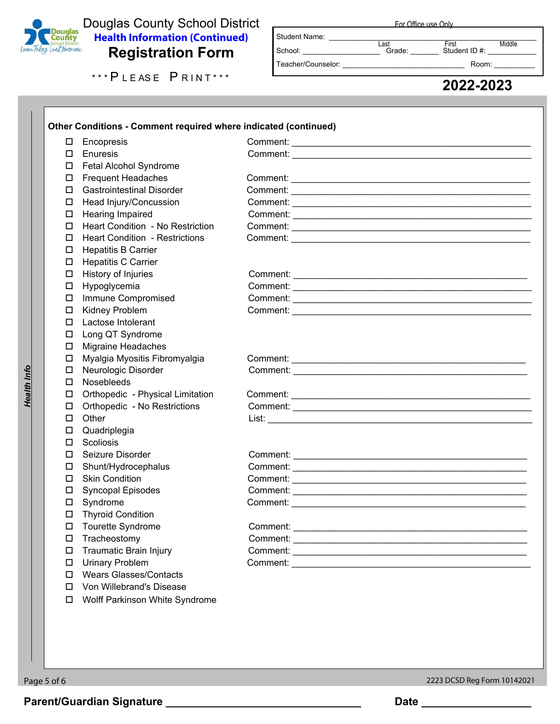

### Douglas County School District **Health Information (Continued) Registration Form**

| Student Name:      |                |                        |        |
|--------------------|----------------|------------------------|--------|
| School:            | Last<br>Grade: | First<br>Student ID #: | Middle |
| Teacher/Counselor: |                | Room:                  |        |

**For Office use Only** 

\*\*\*PLEASE PRINT\*\*\* LACCORE 2022-2023

|        | Encopresis                              |  |
|--------|-----------------------------------------|--|
| П.     | Enuresis                                |  |
| $\Box$ | Fetal Alcohol Syndrome                  |  |
| $\Box$ | <b>Frequent Headaches</b>               |  |
| □      | <b>Gastrointestinal Disorder</b>        |  |
| 0      | Head Injury/Concussion                  |  |
| $\Box$ | Hearing Impaired                        |  |
| $\Box$ | <b>Heart Condition - No Restriction</b> |  |
| □      | <b>Heart Condition - Restrictions</b>   |  |
| □      | <b>Hepatitis B Carrier</b>              |  |
| $\Box$ | <b>Hepatitis C Carrier</b>              |  |
| $\Box$ | History of Injuries                     |  |
| $\Box$ | Hypoglycemia                            |  |
| □      | Immune Compromised                      |  |
| $\Box$ | <b>Kidney Problem</b>                   |  |
| $\Box$ | Lactose Intolerant                      |  |
| $\Box$ | Long QT Syndrome                        |  |
| $\Box$ | <b>Migraine Headaches</b>               |  |
| □      | Myalgia Myositis Fibromyalgia           |  |
| $\Box$ | Neurologic Disorder                     |  |
| $\Box$ | <b>Nosebleeds</b>                       |  |
| $\Box$ | Orthopedic - Physical Limitation        |  |
| $\Box$ | Orthopedic - No Restrictions            |  |
| □      | Other                                   |  |
| □      | Quadriplegia                            |  |
| $\Box$ | Scoliosis                               |  |
| П.     | Seizure Disorder                        |  |
| $\Box$ | Shunt/Hydrocephalus                     |  |
| □      | <b>Skin Condition</b>                   |  |
| □      | <b>Syncopal Episodes</b>                |  |
| □      | Syndrome                                |  |
| $\Box$ | <b>Thyroid Condition</b>                |  |
| □      | Tourette Syndrome                       |  |
| □      | Tracheostomy                            |  |
| □      | <b>Traumatic Brain Injury</b>           |  |
| $\Box$ | <b>Urinary Problem</b>                  |  |
| □      | <b>Wears Glasses/Contacts</b>           |  |
| $\Box$ | Von Willebrand's Disease                |  |
| □      | Wolff Parkinson White Syndrome          |  |
|        |                                         |  |
|        |                                         |  |
|        |                                         |  |

 $\blacksquare$ 

*Health Info*

**Health Info** 

Page 5 of 6 2223 DCSD Reg Form 10142021